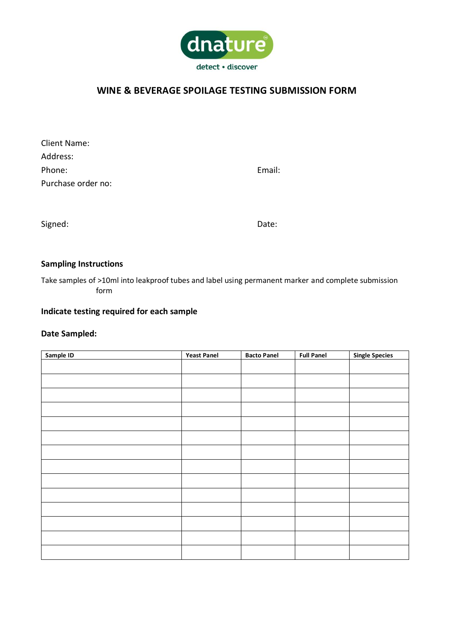

# **WINE & BEVERAGE SPOILAGE TESTING SUBMISSION FORM**

| Client Name:       |        |
|--------------------|--------|
| Address:           |        |
| Phone:             | Email: |
| Purchase order no: |        |

Signed: Date: Date: Date: Date: Date: Date: Date: Date: Date: Date: Date: Date: Date: Date: Date: Date: Date: Date: Date: Date: Date: Date: Date: Date: Date: Date: Date: Date: Date: Date: Date: Date: Date: Date: Date: Date

## **Sampling Instructions**

Take samples of >10ml into leakproof tubes and label using permanent marker and complete submission form

# **Indicate testing required for each sample**

## **Date Sampled:**

| Sample ID | <b>Yeast Panel</b> | <b>Bacto Panel</b> | <b>Full Panel</b> | <b>Single Species</b> |
|-----------|--------------------|--------------------|-------------------|-----------------------|
|           |                    |                    |                   |                       |
|           |                    |                    |                   |                       |
|           |                    |                    |                   |                       |
|           |                    |                    |                   |                       |
|           |                    |                    |                   |                       |
|           |                    |                    |                   |                       |
|           |                    |                    |                   |                       |
|           |                    |                    |                   |                       |
|           |                    |                    |                   |                       |
|           |                    |                    |                   |                       |
|           |                    |                    |                   |                       |
|           |                    |                    |                   |                       |
|           |                    |                    |                   |                       |
|           |                    |                    |                   |                       |
|           |                    |                    |                   |                       |